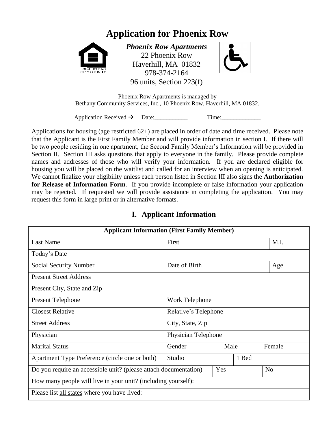# **Application for Phoenix Row**



*Phoenix Row Apartments* 22 Phoenix Row Haverhill, MA 01832 978-374-2164 96 units, Section 223(f)



Phoenix Row Apartments is managed by Bethany Community Services, Inc., 10 Phoenix Row, Haverhill, MA 01832.

Application Received  $\rightarrow$  Date: Time:

Applications for housing (age restricted 62+) are placed in order of date and time received. Please note that the Applicant is the First Family Member and will provide information in section I. If there will be two people residing in one apartment, the Second Family Member's Information will be provided in Section II. Section III asks questions that apply to everyone in the family. Please provide complete names and addresses of those who will verify your information. If you are declared eligible for housing you will be placed on the waitlist and called for an interview when an opening is anticipated. We cannot finalize your eligibility unless each person listed in Section III also signs the **Authorization for Release of Information Form**. If you provide incomplete or false information your application may be rejected. If requested we will provide assistance in completing the application. You may request this form in large print or in alternative formats.

| <b>Applicant Information (First Family Member)</b>               |                      |      |       |                |
|------------------------------------------------------------------|----------------------|------|-------|----------------|
| <b>Last Name</b>                                                 | First                |      |       | M.I.           |
| Today's Date                                                     |                      |      |       |                |
| <b>Social Security Number</b>                                    | Date of Birth        |      |       | Age            |
| <b>Present Street Address</b>                                    |                      |      |       |                |
| Present City, State and Zip                                      |                      |      |       |                |
| <b>Present Telephone</b>                                         | Work Telephone       |      |       |                |
| <b>Closest Relative</b>                                          | Relative's Telephone |      |       |                |
| <b>Street Address</b>                                            | City, State, Zip     |      |       |                |
| Physician                                                        | Physician Telephone  |      |       |                |
| <b>Marital Status</b>                                            | Gender               | Male |       | Female         |
| Apartment Type Preference (circle one or both)                   | Studio               |      | 1 Bed |                |
| Do you require an accessible unit? (please attach documentation) |                      | Yes  |       | N <sub>o</sub> |
| How many people will live in your unit? (including yourself):    |                      |      |       |                |
| Please list all states where you have lived:                     |                      |      |       |                |

# **I. Applicant Information**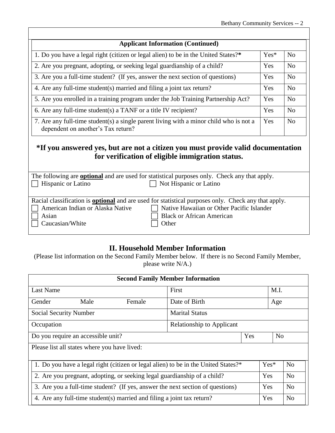| <b>Applicant Information (Continued)</b>                                                                                     |        |                |
|------------------------------------------------------------------------------------------------------------------------------|--------|----------------|
| 1. Do you have a legal right (citizen or legal alien) to be in the United States?*                                           | $Yes*$ | N <sub>0</sub> |
| 2. Are you pregnant, adopting, or seeking legal guardianship of a child?                                                     | Yes    | N <sub>0</sub> |
| 3. Are you a full-time student? (If yes, answer the next section of questions)                                               | Yes    | N <sub>0</sub> |
| 4. Are any full-time student(s) married and filing a joint tax return?                                                       | Yes    | N <sub>0</sub> |
| 5. Are you enrolled in a training program under the Job Training Partnership Act?                                            | Yes    | N <sub>0</sub> |
| 6. Are any full-time student(s) a TANF or a title IV recipient?                                                              | Yes    | N <sub>0</sub> |
| 7. Are any full-time student(s) a single parent living with a minor child who is not a<br>dependent on another's Tax return? | Yes    | N <sub>0</sub> |

### **\*If you answered yes, but are not a citizen you must provide valid documentation for verification of eligible immigration status.**

The following are **optional** and are used for statistical purposes only. Check any that apply. Hispanic or Latino Not Hispanic or Latino

|                                         | Racial classification is <b>optional</b> and are used for statistical purposes only. Check any that apply. |
|-----------------------------------------|------------------------------------------------------------------------------------------------------------|
| $\Box$ American Indian or Alaska Native | $\Box$ Native Hawaiian or Other Pacific Islander                                                           |
| Asian                                   | <b>Black or African American</b>                                                                           |
| $\Box$ Caucasian/White                  | Other                                                                                                      |
|                                         |                                                                                                            |

# **II. Household Member Information**

(Please list information on the Second Family Member below. If there is no Second Family Member, please write N/A.)

| <b>Second Family Member Information</b>                                            |               |     |                |                |
|------------------------------------------------------------------------------------|---------------|-----|----------------|----------------|
| Last Name                                                                          | First         |     | M.I.           |                |
| Male<br>Female<br>Gender                                                           | Date of Birth |     | Age            |                |
| <b>Social Security Number</b><br><b>Marital Status</b>                             |               |     |                |                |
| Occupation<br><b>Relationship to Applicant</b>                                     |               |     |                |                |
| Do you require an accessible unit?<br>Yes                                          |               |     | N <sub>o</sub> |                |
| Please list all states where you have lived:                                       |               |     |                |                |
| 1. Do you have a legal right (citizen or legal alien) to be in the United States?* |               |     | $Yes*$         | N <sub>0</sub> |
| 2. Are you pregnant, adopting, or seeking legal guardianship of a child?           |               | Yes |                | N <sub>0</sub> |
| 3. Are you a full-time student? (If yes, answer the next section of questions)     |               | Yes | N <sub>0</sub> |                |
| 4. Are any full-time student(s) married and filing a joint tax return?             |               | Yes | N <sub>0</sub> |                |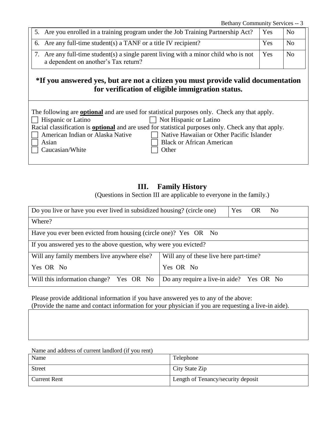Bethany Community Services -- 3

|  | 5. Are you enrolled in a training program under the Job Training Partnership Act?                                            | Yes | N <sub>o</sub> |
|--|------------------------------------------------------------------------------------------------------------------------------|-----|----------------|
|  | 6. Are any full-time student(s) a TANF or a title IV recipient?                                                              | Yes | N <sub>o</sub> |
|  | 7. Are any full-time student(s) a single parent living with a minor child who is not<br>a dependent on another's Tax return? | Yes | N <sub>o</sub> |

### **\*If you answered yes, but are not a citizen you must provide valid documentation for verification of eligible immigration status.**

| The following are <b>optional</b> and are used for statistical purposes only. Check any that apply. |                                                                                                            |  |  |  |
|-----------------------------------------------------------------------------------------------------|------------------------------------------------------------------------------------------------------------|--|--|--|
| $\Box$ Hispanic or Latino                                                                           | $\Box$ Not Hispanic or Latino                                                                              |  |  |  |
|                                                                                                     | Racial classification is <b>optional</b> and are used for statistical purposes only. Check any that apply. |  |  |  |
| $\Box$ American Indian or Alaska Native                                                             | □ Native Hawaiian or Other Pacific Islander                                                                |  |  |  |
| Asian                                                                                               | <b>Black or African American</b>                                                                           |  |  |  |
| $\Box$ Caucasian/White                                                                              | Other                                                                                                      |  |  |  |
|                                                                                                     |                                                                                                            |  |  |  |

### **III. Family History**

(Questions in Section III are applicable to everyone in the family.)

| Do you live or have you ever lived in subsidized housing? (circle one) | Yes OR<br>N <sub>o</sub>                 |  |  |
|------------------------------------------------------------------------|------------------------------------------|--|--|
| Where?                                                                 |                                          |  |  |
| Have you ever been evicted from housing (circle one)? Yes OR No        |                                          |  |  |
| If you answered yes to the above question, why were you evicted?       |                                          |  |  |
| Will any family members live anywhere else?                            | Will any of these live here part-time?   |  |  |
| Yes OR No                                                              | Yes OR No                                |  |  |
| Will this information change? Yes OR No                                | Do any require a live-in aide? Yes OR No |  |  |

Please provide additional information if you have answered yes to any of the above: (Provide the name and contact information for your physician if you are requesting a live-in aide).

Name and address of current landlord (if you rent)

| Name                | Telephone                          |
|---------------------|------------------------------------|
| <b>Street</b>       | City State Zip                     |
| <b>Current Rent</b> | Length of Tenancy/security deposit |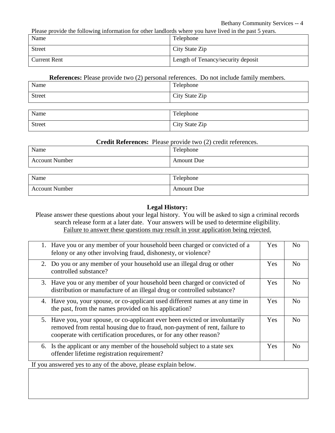Please provide the following information for other landlords where you have lived in the past 5 years.

| Name                | Telephone                          |
|---------------------|------------------------------------|
| <b>Street</b>       | City State Zip                     |
| <b>Current Rent</b> | Length of Tenancy/security deposit |

#### **References:** Please provide two (2) personal references. Do not include family members.

| Name          | Telephone      |
|---------------|----------------|
| <b>Street</b> | City State Zip |
|               |                |
| Name          | Telephone      |
| <b>Street</b> | City State Zip |

#### **Credit References:** Please provide two (2) credit references.

| Name                  | Telephone         |
|-----------------------|-------------------|
| <b>Account Number</b> | <b>Amount Due</b> |
|                       |                   |
| Name                  | Telephone         |
| <b>Account Number</b> | <b>Amount Due</b> |

#### **Legal History:**

Please answer these questions about your legal history. You will be asked to sign a criminal records search release form at a later date. Your answers will be used to determine eligibility. Failure to answer these questions may result in your application being rejected.

|              | 1. Have you or any member of your household been charged or convicted of a<br>felony or any other involving fraud, dishonesty, or violence?                                                                                    | Yes        | No             |
|--------------|--------------------------------------------------------------------------------------------------------------------------------------------------------------------------------------------------------------------------------|------------|----------------|
|              | 2. Do you or any member of your household use an illegal drug or other<br>controlled substance?                                                                                                                                | Yes        | N <sub>o</sub> |
|              | 3. Have you or any member of your household been charged or convicted of<br>distribution or manufacture of an illegal drug or controlled substance?                                                                            | Yes        | N <sub>o</sub> |
|              | 4. Have you, your spouse, or co-applicant used different names at any time in<br>the past, from the names provided on his application?                                                                                         | Yes        | No             |
|              | 5. Have you, your spouse, or co-applicant ever been evicted or involuntarily<br>removed from rental housing due to fraud, non-payment of rent, failure to<br>cooperate with certification procedures, or for any other reason? | Yes        | N <sub>0</sub> |
|              | 6. Is the applicant or any member of the household subject to a state sex<br>offender lifetime registration requirement?                                                                                                       | <b>Yes</b> | N <sub>0</sub> |
| $\mathbf{r}$ | $\alpha$ and $\alpha$ and $\alpha$ and $\alpha$<br>.                                                                                                                                                                           |            |                |

If you answered yes to any of the above, please explain below.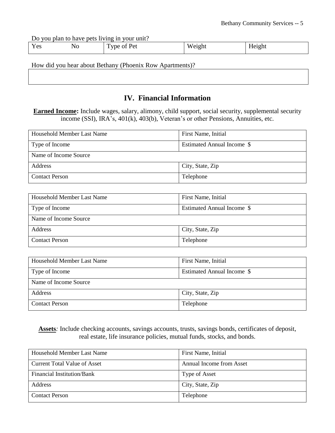Do you plan to have pets living in your unit?

| $ -$<br>$V \alpha c$<br>T C2 | N <sub>0</sub> | $P_{\mathsf{P}}$<br>vne.<br>ΩŤ<br>0110<br>-<br>. . | eigh<br>W<br>$\sim$<br>÷ | Height<br>$\sim$<br>$\sim$ |  |
|------------------------------|----------------|----------------------------------------------------|--------------------------|----------------------------|--|

How did you hear about Bethany (Phoenix Row Apartments)?

### **IV. Financial Information**

**Earned Income:** Include wages, salary, alimony, child support, social security, supplemental security income (SSI), IRA's, 401(k), 403(b), Veteran's or other Pensions, Annuities, etc.

| Household Member Last Name | First Name, Initial        |
|----------------------------|----------------------------|
| Type of Income             | Estimated Annual Income \$ |
| Name of Income Source      |                            |
| Address                    | City, State, Zip           |
| <b>Contact Person</b>      | Telephone                  |

| Household Member Last Name | First Name, Initial        |
|----------------------------|----------------------------|
| Type of Income             | Estimated Annual Income \$ |
| Name of Income Source      |                            |
| Address                    | City, State, Zip           |
| <b>Contact Person</b>      | Telephone                  |

| Household Member Last Name | First Name, Initial        |
|----------------------------|----------------------------|
| Type of Income             | Estimated Annual Income \$ |
| Name of Income Source      |                            |
| <b>Address</b>             | City, State, Zip           |
| <b>Contact Person</b>      | Telephone                  |

**Assets***:* Include checking accounts, savings accounts, trusts, savings bonds, certificates of deposit, real estate, life insurance policies, mutual funds, stocks, and bonds.

| Household Member Last Name          | First Name, Initial      |
|-------------------------------------|--------------------------|
| <b>Current Total Value of Asset</b> | Annual Income from Asset |
| Financial Institution/Bank          | Type of Asset            |
| <b>Address</b>                      | City, State, Zip         |
| <b>Contact Person</b>               | Telephone                |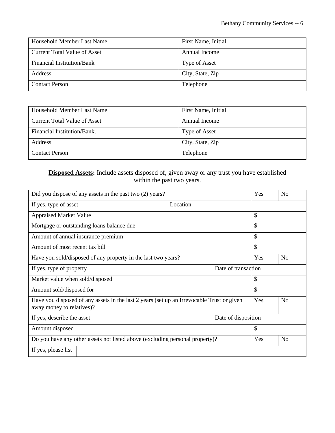| Household Member Last Name   | First Name, Initial |
|------------------------------|---------------------|
| Current Total Value of Asset | Annual Income       |
| Financial Institution/Bank   | Type of Asset       |
| Address                      | City, State, Zip    |
| <b>Contact Person</b>        | Telephone           |

| Household Member Last Name        | First Name, Initial |
|-----------------------------------|---------------------|
| Current Total Value of Asset      | Annual Income       |
| <b>Financial Institution/Bank</b> | Type of Asset       |
| Address                           | City, State, Zip    |
| <b>Contact Person</b>             | Telephone           |

### **Disposed Assets:** Include assets disposed of, given away or any trust you have established within the past two years.

| Did you dispose of any assets in the past two (2) years?                                                               |          |                     | Yes | N <sub>o</sub> |
|------------------------------------------------------------------------------------------------------------------------|----------|---------------------|-----|----------------|
| If yes, type of asset                                                                                                  | Location |                     |     |                |
| <b>Appraised Market Value</b>                                                                                          |          |                     | \$  |                |
| Mortgage or outstanding loans balance due                                                                              |          |                     | \$  |                |
| Amount of annual insurance premium                                                                                     |          |                     | \$  |                |
| Amount of most recent tax bill                                                                                         |          |                     | \$  |                |
| Have you sold/disposed of any property in the last two years?                                                          |          |                     | Yes | <b>No</b>      |
| If yes, type of property                                                                                               |          | Date of transaction |     |                |
| Market value when sold/disposed                                                                                        |          |                     | \$  |                |
| Amount sold/disposed for                                                                                               |          |                     | \$  |                |
| Have you disposed of any assets in the last 2 years (set up an Irrevocable Trust or given<br>away money to relatives)? |          |                     | Yes | No             |
| If yes, describe the asset                                                                                             |          | Date of disposition |     |                |
| Amount disposed                                                                                                        |          |                     | \$  |                |
| Do you have any other assets not listed above (excluding personal property)?                                           |          |                     | Yes | N <sub>o</sub> |
| If yes, please list                                                                                                    |          |                     |     |                |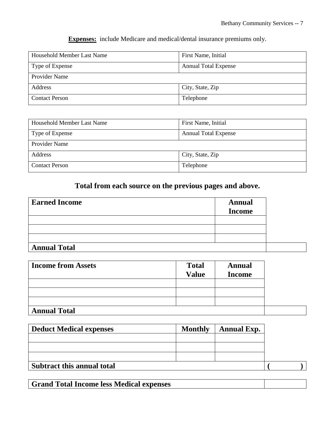**Expenses:** include Medicare and medical/dental insurance premiums only.

| Household Member Last Name | First Name, Initial         |
|----------------------------|-----------------------------|
| Type of Expense            | <b>Annual Total Expense</b> |
| Provider Name              |                             |
| Address                    | City, State, Zip            |
| <b>Contact Person</b>      | Telephone                   |

| Household Member Last Name | First Name, Initial         |
|----------------------------|-----------------------------|
| Type of Expense            | <b>Annual Total Expense</b> |
| Provider Name              |                             |
| Address                    | City, State, Zip            |
| <b>Contact Person</b>      | Telephone                   |

# **Total from each source on the previous pages and above.**

| <b>Earned Income</b> | <b>Annual</b><br><b>Income</b> |  |
|----------------------|--------------------------------|--|
|                      |                                |  |
|                      |                                |  |
|                      |                                |  |
| <b>Annual Total</b>  |                                |  |

| <b>Income from Assets</b> | <b>Total</b><br><b>Value</b> | <b>Annual</b><br><b>Income</b> |  |
|---------------------------|------------------------------|--------------------------------|--|
|                           |                              |                                |  |
|                           |                              |                                |  |
|                           |                              |                                |  |
| <b>Annual Total</b>       |                              |                                |  |

| <b>Deduct Medical expenses</b> | <b>Monthly</b> | <b>Annual Exp.</b> |  |
|--------------------------------|----------------|--------------------|--|
|                                |                |                    |  |
|                                |                |                    |  |
|                                |                |                    |  |
| Subtract this annual total     |                |                    |  |

**Grand Total Income less Medical expenses**